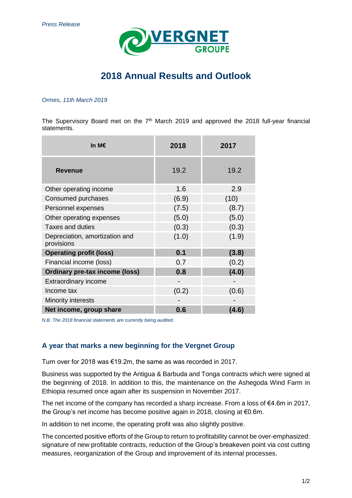

# **2018 Annual Results and Outlook**

#### *Ormes, 11th March 2019*

The Supervisory Board met on the  $7<sup>th</sup>$  March 2019 and approved the 2018 full-year financial statements.

| In M€                                        | 2018  | 2017  |
|----------------------------------------------|-------|-------|
| <b>Revenue</b>                               | 19.2  | 19.2  |
| Other operating income                       | 1.6   | 2.9   |
| Consumed purchases                           | (6.9) | (10)  |
| Personnel expenses                           | (7.5) | (8.7) |
| Other operating expenses                     | (5.0) | (5.0) |
| <b>Taxes and duties</b>                      | (0.3) | (0.3) |
| Depreciation, amortization and<br>provisions | (1.0) | (1.9) |
| <b>Operating profit (loss)</b>               | 0.1   | (3.8) |
| Financial income (loss)                      | 0.7   | (0.2) |
| <b>Ordinary pre-tax income (loss)</b>        | 0.8   | (4.0) |
| <b>Extraordinary income</b>                  |       |       |
| Income tax                                   | (0.2) | (0.6) |
| Minority interests                           |       |       |
| Net income, group share                      | 0.6   | (4.6) |

*N.B. The 2018 financial statements are currently being audited.*

### **A year that marks a new beginning for the Vergnet Group**

Turn over for 2018 was €19.2m, the same as was recorded in 2017.

Business was supported by the Antigua & Barbuda and Tonga contracts which were signed at the beginning of 2018. In addition to this, the maintenance on the Ashegoda Wind Farm in Ethiopia resumed once again after its suspension in November 2017.

The net income of the company has recorded a sharp increase. From a loss of €4.6m in 2017, the Group's net income has become positive again in 2018, closing at €0.6m.

In addition to net income, the operating profit was also slightly positive.

The concerted positive efforts of the Group to return to profitability cannot be over-emphasized: signature of new profitable contracts, reduction of the Group's breakeven point via cost cutting measures, reorganization of the Group and improvement of its internal processes.